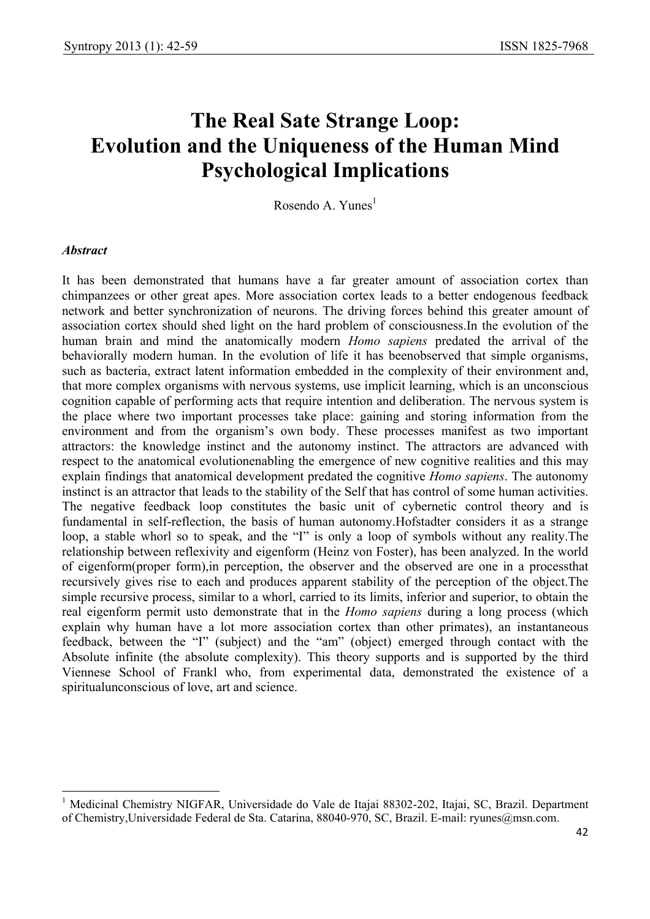# **The Real Sate Strange Loop: Evolution and the Uniqueness of the Human Mind Psychological Implications**

Rosendo A. Yunes $<sup>1</sup>$ </sup>

#### *Abstract*

 $\overline{\phantom{a}}$ 

It has been demonstrated that humans have a far greater amount of association cortex than chimpanzees or other great apes. More association cortex leads to a better endogenous feedback network and better synchronization of neurons. The driving forces behind this greater amount of association cortex should shed light on the hard problem of consciousness.In the evolution of the human brain and mind the anatomically modern *Homo sapiens* predated the arrival of the behaviorally modern human. In the evolution of life it has beenobserved that simple organisms, such as bacteria, extract latent information embedded in the complexity of their environment and, that more complex organisms with nervous systems, use implicit learning, which is an unconscious cognition capable of performing acts that require intention and deliberation. The nervous system is the place where two important processes take place: gaining and storing information from the environment and from the organism's own body. These processes manifest as two important attractors: the knowledge instinct and the autonomy instinct. The attractors are advanced with respect to the anatomical evolutionenabling the emergence of new cognitive realities and this may explain findings that anatomical development predated the cognitive *Homo sapiens*. The autonomy instinct is an attractor that leads to the stability of the Self that has control of some human activities. The negative feedback loop constitutes the basic unit of cybernetic control theory and is fundamental in self-reflection, the basis of human autonomy.Hofstadter considers it as a strange loop, a stable whorl so to speak, and the "I" is only a loop of symbols without any reality.The relationship between reflexivity and eigenform (Heinz von Foster), has been analyzed. In the world of eigenform(proper form),in perception, the observer and the observed are one in a processthat recursively gives rise to each and produces apparent stability of the perception of the object.The simple recursive process, similar to a whorl, carried to its limits, inferior and superior, to obtain the real eigenform permit usto demonstrate that in the *Homo sapiens* during a long process (which explain why human have a lot more association cortex than other primates), an instantaneous feedback, between the "I" (subject) and the "am" (object) emerged through contact with the Absolute infinite (the absolute complexity). This theory supports and is supported by the third Viennese School of Frankl who, from experimental data, demonstrated the existence of a spiritualunconscious of love, art and science.

<sup>1</sup> Medicinal Chemistry NIGFAR, Universidade do Vale de Itajai 88302-202, Itajai, SC, Brazil. Department of Chemistry,Universidade Federal de Sta. Catarina, 88040-970, SC, Brazil. E-mail: ryunes@msn.com.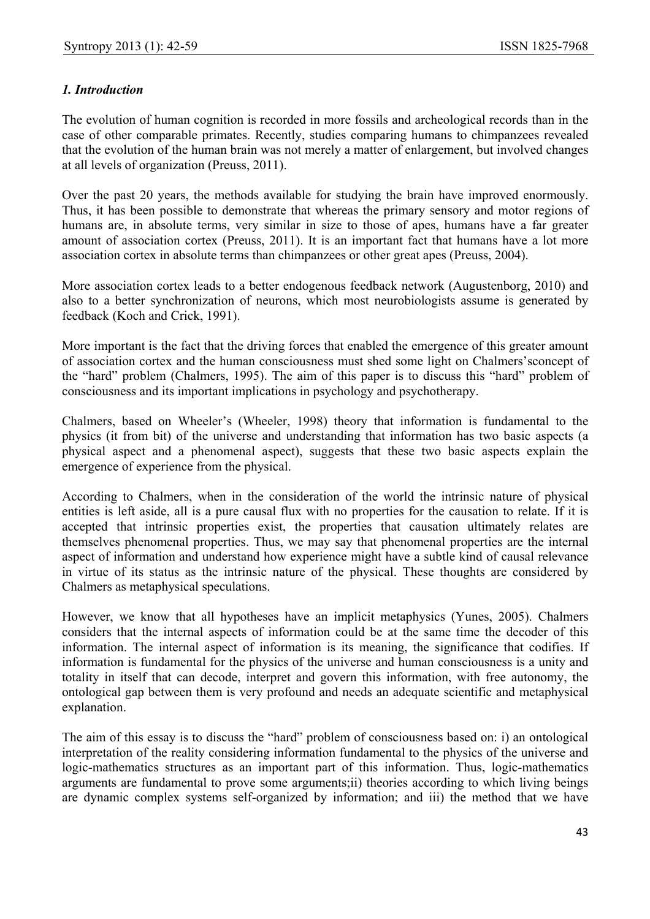# *1. Introduction*

The evolution of human cognition is recorded in more fossils and archeological records than in the case of other comparable primates. Recently, studies comparing humans to chimpanzees revealed that the evolution of the human brain was not merely a matter of enlargement, but involved changes at all levels of organization (Preuss, 2011).

Over the past 20 years, the methods available for studying the brain have improved enormously. Thus, it has been possible to demonstrate that whereas the primary sensory and motor regions of humans are, in absolute terms, very similar in size to those of apes, humans have a far greater amount of association cortex (Preuss, 2011). It is an important fact that humans have a lot more association cortex in absolute terms than chimpanzees or other great apes (Preuss, 2004).

More association cortex leads to a better endogenous feedback network (Augustenborg, 2010) and also to a better synchronization of neurons, which most neurobiologists assume is generated by feedback (Koch and Crick, 1991).

More important is the fact that the driving forces that enabled the emergence of this greater amount of association cortex and the human consciousness must shed some light on Chalmers'sconcept of the "hard" problem (Chalmers, 1995). The aim of this paper is to discuss this "hard" problem of consciousness and its important implications in psychology and psychotherapy.

Chalmers, based on Wheeler's (Wheeler, 1998) theory that information is fundamental to the physics (it from bit) of the universe and understanding that information has two basic aspects (a physical aspect and a phenomenal aspect), suggests that these two basic aspects explain the emergence of experience from the physical.

According to Chalmers, when in the consideration of the world the intrinsic nature of physical entities is left aside, all is a pure causal flux with no properties for the causation to relate. If it is accepted that intrinsic properties exist, the properties that causation ultimately relates are themselves phenomenal properties. Thus, we may say that phenomenal properties are the internal aspect of information and understand how experience might have a subtle kind of causal relevance in virtue of its status as the intrinsic nature of the physical. These thoughts are considered by Chalmers as metaphysical speculations.

However, we know that all hypotheses have an implicit metaphysics (Yunes, 2005). Chalmers considers that the internal aspects of information could be at the same time the decoder of this information. The internal aspect of information is its meaning, the significance that codifies. If information is fundamental for the physics of the universe and human consciousness is a unity and totality in itself that can decode, interpret and govern this information, with free autonomy, the ontological gap between them is very profound and needs an adequate scientific and metaphysical explanation.

The aim of this essay is to discuss the "hard" problem of consciousness based on: i) an ontological interpretation of the reality considering information fundamental to the physics of the universe and logic-mathematics structures as an important part of this information. Thus, logic-mathematics arguments are fundamental to prove some arguments;ii) theories according to which living beings are dynamic complex systems self-organized by information; and iii) the method that we have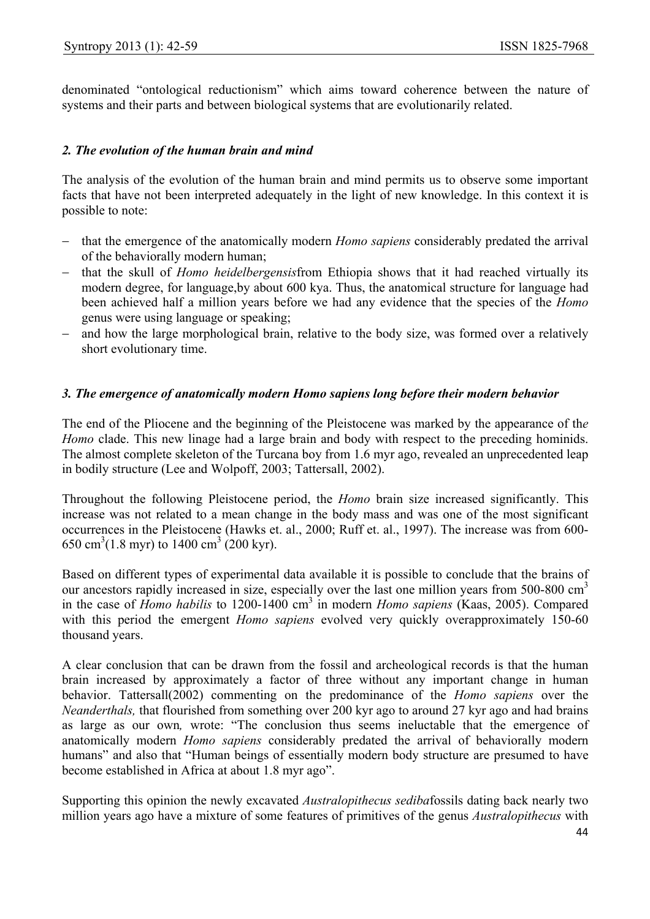denominated "ontological reductionism" which aims toward coherence between the nature of systems and their parts and between biological systems that are evolutionarily related.

#### *2. The evolution of the human brain and mind*

The analysis of the evolution of the human brain and mind permits us to observe some important facts that have not been interpreted adequately in the light of new knowledge. In this context it is possible to note:

- − that the emergence of the anatomically modern *Homo sapiens* considerably predated the arrival of the behaviorally modern human;
- − that the skull of *Homo heidelbergensis*from Ethiopia shows that it had reached virtually its modern degree, for language,by about 600 kya. Thus, the anatomical structure for language had been achieved half a million years before we had any evidence that the species of the *Homo* genus were using language or speaking;
- and how the large morphological brain, relative to the body size, was formed over a relatively short evolutionary time.

#### *3. The emergence of anatomically modern Homo sapiens long before their modern behavior*

The end of the Pliocene and the beginning of the Pleistocene was marked by the appearance of th*e Homo* clade. This new linage had a large brain and body with respect to the preceding hominids. The almost complete skeleton of the Turcana boy from 1.6 myr ago, revealed an unprecedented leap in bodily structure (Lee and Wolpoff, 2003; Tattersall, 2002).

Throughout the following Pleistocene period, the *Homo* brain size increased significantly. This increase was not related to a mean change in the body mass and was one of the most significant occurrences in the Pleistocene (Hawks et. al., 2000; Ruff et. al., 1997). The increase was from 600- 650 cm<sup>3</sup>(1.8 myr) to 1400 cm<sup>3</sup> (200 kyr).

Based on different types of experimental data available it is possible to conclude that the brains of our ancestors rapidly increased in size, especially over the last one million years from 500-800 cm<sup>3</sup> in the case of *Homo habilis* to 1200-1400 cm3 in modern *Homo sapiens* (Kaas, 2005). Compared with this period the emergent *Homo sapiens* evolved very quickly overapproximately 150-60 thousand years.

A clear conclusion that can be drawn from the fossil and archeological records is that the human brain increased by approximately a factor of three without any important change in human behavior. Tattersall(2002) commenting on the predominance of the *Homo sapiens* over the *Neanderthals,* that flourished from something over 200 kyr ago to around 27 kyr ago and had brains as large as our own*,* wrote: "The conclusion thus seems ineluctable that the emergence of anatomically modern *Homo sapiens* considerably predated the arrival of behaviorally modern humans" and also that "Human beings of essentially modern body structure are presumed to have become established in Africa at about 1.8 myr ago".

Supporting this opinion the newly excavated *Australopithecus sediba*fossils dating back nearly two million years ago have a mixture of some features of primitives of the genus *Australopithecus* with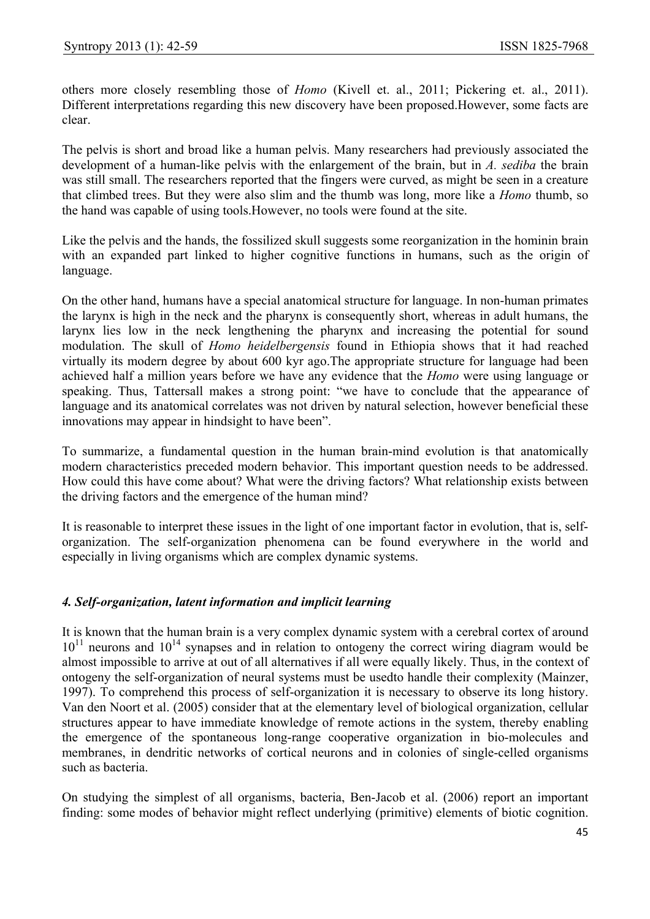others more closely resembling those of *Homo* (Kivell et. al., 2011; Pickering et. al., 2011). Different interpretations regarding this new discovery have been proposed.However, some facts are clear.

The pelvis is short and broad like a human pelvis. Many researchers had previously associated the development of a human-like pelvis with the enlargement of the brain, but in *A. sediba* the brain was still small. The researchers reported that the fingers were curved, as might be seen in a creature that climbed trees. But they were also slim and the thumb was long, more like a *Homo* thumb, so the hand was capable of using tools.However, no tools were found at the site.

Like the pelvis and the hands, the fossilized skull suggests some reorganization in the hominin brain with an expanded part linked to higher cognitive functions in humans, such as the origin of language.

On the other hand, humans have a special anatomical structure for language. In non-human primates the larynx is high in the neck and the pharynx is consequently short, whereas in adult humans, the larynx lies low in the neck lengthening the pharynx and increasing the potential for sound modulation. The skull of *Homo heidelbergensis* found in Ethiopia shows that it had reached virtually its modern degree by about 600 kyr ago.The appropriate structure for language had been achieved half a million years before we have any evidence that the *Homo* were using language or speaking. Thus, Tattersall makes a strong point: "we have to conclude that the appearance of language and its anatomical correlates was not driven by natural selection, however beneficial these innovations may appear in hindsight to have been".

To summarize, a fundamental question in the human brain-mind evolution is that anatomically modern characteristics preceded modern behavior. This important question needs to be addressed. How could this have come about? What were the driving factors? What relationship exists between the driving factors and the emergence of the human mind?

It is reasonable to interpret these issues in the light of one important factor in evolution, that is, selforganization. The self-organization phenomena can be found everywhere in the world and especially in living organisms which are complex dynamic systems.

## *4. Self-organization, latent information and implicit learning*

It is known that the human brain is a very complex dynamic system with a cerebral cortex of around  $10^{11}$  neurons and  $10^{14}$  synapses and in relation to ontogeny the correct wiring diagram would be almost impossible to arrive at out of all alternatives if all were equally likely. Thus, in the context of ontogeny the self-organization of neural systems must be usedto handle their complexity (Mainzer, 1997). To comprehend this process of self-organization it is necessary to observe its long history. Van den Noort et al. (2005) consider that at the elementary level of biological organization, cellular structures appear to have immediate knowledge of remote actions in the system, thereby enabling the emergence of the spontaneous long-range cooperative organization in bio-molecules and membranes, in dendritic networks of cortical neurons and in colonies of single-celled organisms such as bacteria.

On studying the simplest of all organisms, bacteria, Ben-Jacob et al. (2006) report an important finding: some modes of behavior might reflect underlying (primitive) elements of biotic cognition.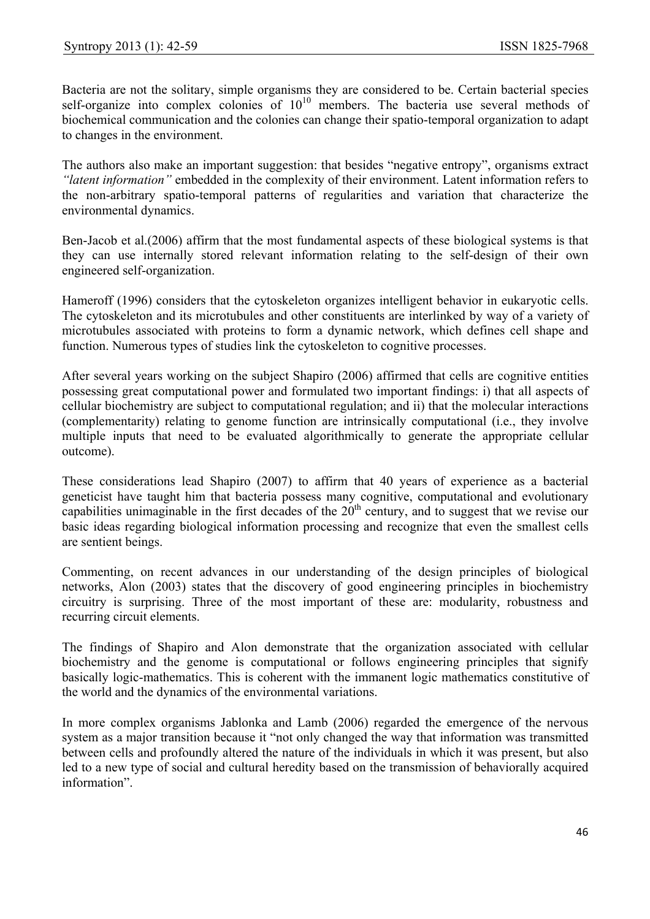Bacteria are not the solitary, simple organisms they are considered to be. Certain bacterial species self-organize into complex colonies of  $10^{10}$  members. The bacteria use several methods of biochemical communication and the colonies can change their spatio-temporal organization to adapt to changes in the environment.

The authors also make an important suggestion: that besides "negative entropy", organisms extract *"latent information"* embedded in the complexity of their environment. Latent information refers to the non-arbitrary spatio-temporal patterns of regularities and variation that characterize the environmental dynamics.

Ben-Jacob et al.(2006) affirm that the most fundamental aspects of these biological systems is that they can use internally stored relevant information relating to the self-design of their own engineered self-organization.

Hameroff (1996) considers that the cytoskeleton organizes intelligent behavior in eukaryotic cells. The cytoskeleton and its microtubules and other constituents are interlinked by way of a variety of microtubules associated with proteins to form a dynamic network, which defines cell shape and function. Numerous types of studies link the cytoskeleton to cognitive processes.

After several years working on the subject Shapiro (2006) affirmed that cells are cognitive entities possessing great computational power and formulated two important findings: i) that all aspects of cellular biochemistry are subject to computational regulation; and ii) that the molecular interactions (complementarity) relating to genome function are intrinsically computational (i.e., they involve multiple inputs that need to be evaluated algorithmically to generate the appropriate cellular outcome).

These considerations lead Shapiro (2007) to affirm that 40 years of experience as a bacterial geneticist have taught him that bacteria possess many cognitive, computational and evolutionary capabilities unimaginable in the first decades of the  $20<sup>th</sup>$  century, and to suggest that we revise our basic ideas regarding biological information processing and recognize that even the smallest cells are sentient beings.

Commenting, on recent advances in our understanding of the design principles of biological networks, Alon (2003) states that the discovery of good engineering principles in biochemistry circuitry is surprising. Three of the most important of these are: modularity, robustness and recurring circuit elements.

The findings of Shapiro and Alon demonstrate that the organization associated with cellular biochemistry and the genome is computational or follows engineering principles that signify basically logic-mathematics. This is coherent with the immanent logic mathematics constitutive of the world and the dynamics of the environmental variations.

In more complex organisms Jablonka and Lamb (2006) regarded the emergence of the nervous system as a major transition because it "not only changed the way that information was transmitted between cells and profoundly altered the nature of the individuals in which it was present, but also led to a new type of social and cultural heredity based on the transmission of behaviorally acquired information".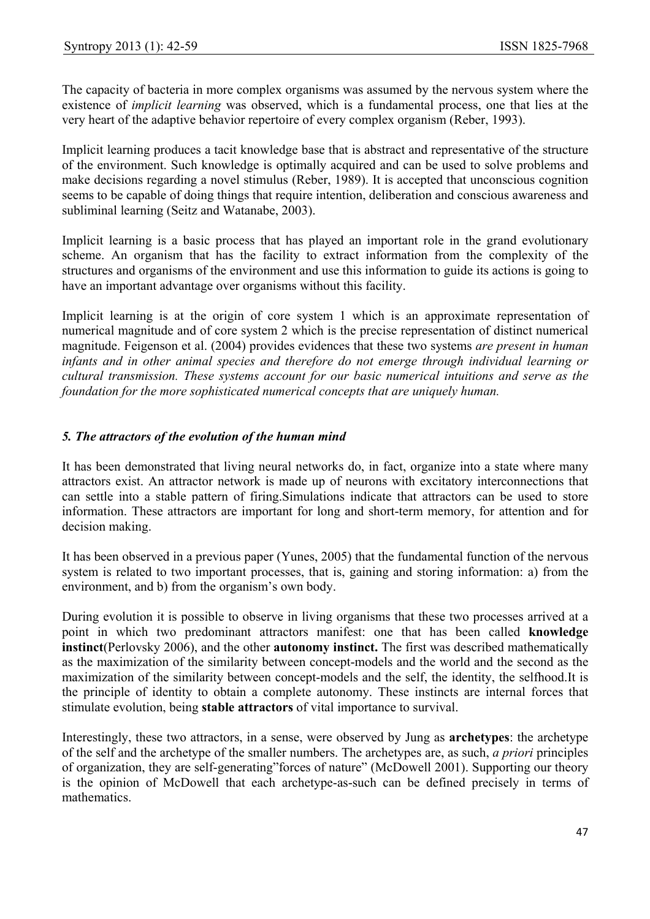The capacity of bacteria in more complex organisms was assumed by the nervous system where the existence of *implicit learning* was observed, which is a fundamental process, one that lies at the very heart of the adaptive behavior repertoire of every complex organism (Reber, 1993).

Implicit learning produces a tacit knowledge base that is abstract and representative of the structure of the environment. Such knowledge is optimally acquired and can be used to solve problems and make decisions regarding a novel stimulus (Reber, 1989). It is accepted that unconscious cognition seems to be capable of doing things that require intention, deliberation and conscious awareness and subliminal learning (Seitz and Watanabe, 2003).

Implicit learning is a basic process that has played an important role in the grand evolutionary scheme. An organism that has the facility to extract information from the complexity of the structures and organisms of the environment and use this information to guide its actions is going to have an important advantage over organisms without this facility.

Implicit learning is at the origin of core system 1 which is an approximate representation of numerical magnitude and of core system 2 which is the precise representation of distinct numerical magnitude. Feigenson et al. (2004) provides evidences that these two systems *are present in human infants and in other animal species and therefore do not emerge through individual learning or cultural transmission. These systems account for our basic numerical intuitions and serve as the foundation for the more sophisticated numerical concepts that are uniquely human.*

## *5. The attractors of the evolution of the human mind*

It has been demonstrated that living neural networks do, in fact, organize into a state where many attractors exist. An attractor network is made up of neurons with excitatory interconnections that can settle into a stable pattern of firing.Simulations indicate that attractors can be used to store information. These attractors are important for long and short-term memory, for attention and for decision making.

It has been observed in a previous paper (Yunes, 2005) that the fundamental function of the nervous system is related to two important processes, that is, gaining and storing information: a) from the environment, and b) from the organism's own body.

During evolution it is possible to observe in living organisms that these two processes arrived at a point in which two predominant attractors manifest: one that has been called **knowledge instinct**(Perlovsky 2006), and the other **autonomy instinct.** The first was described mathematically as the maximization of the similarity between concept-models and the world and the second as the maximization of the similarity between concept-models and the self, the identity, the selfhood.It is the principle of identity to obtain a complete autonomy. These instincts are internal forces that stimulate evolution, being **stable attractors** of vital importance to survival.

Interestingly, these two attractors, in a sense, were observed by Jung as **archetypes**: the archetype of the self and the archetype of the smaller numbers. The archetypes are, as such, *a priori* principles of organization, they are self-generating"forces of nature" (McDowell 2001). Supporting our theory is the opinion of McDowell that each archetype-as-such can be defined precisely in terms of mathematics.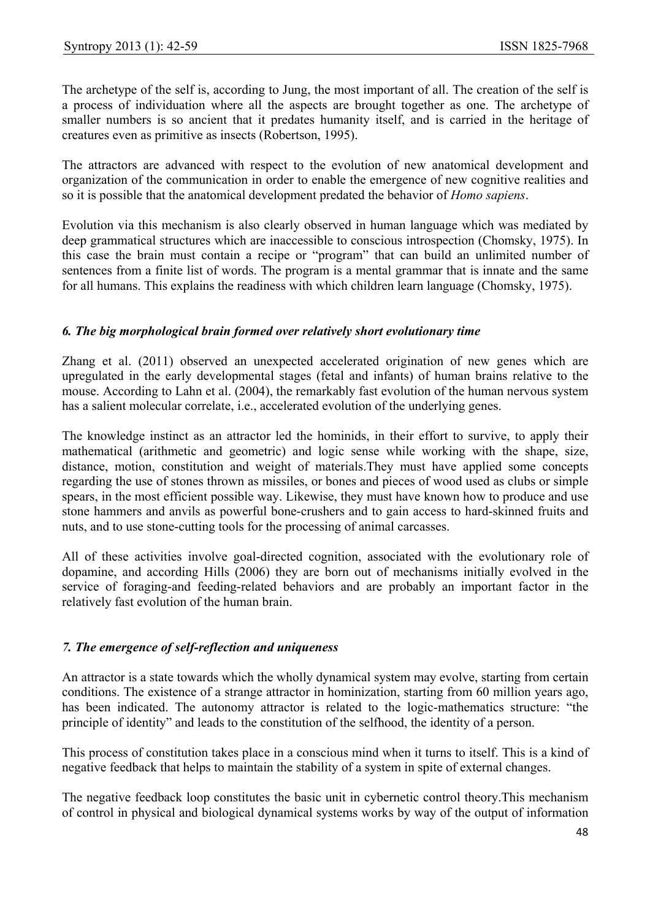The archetype of the self is, according to Jung, the most important of all. The creation of the self is a process of individuation where all the aspects are brought together as one. The archetype of smaller numbers is so ancient that it predates humanity itself, and is carried in the heritage of creatures even as primitive as insects (Robertson, 1995).

The attractors are advanced with respect to the evolution of new anatomical development and organization of the communication in order to enable the emergence of new cognitive realities and so it is possible that the anatomical development predated the behavior of *Homo sapiens*.

Evolution via this mechanism is also clearly observed in human language which was mediated by deep grammatical structures which are inaccessible to conscious introspection (Chomsky, 1975). In this case the brain must contain a recipe or "program" that can build an unlimited number of sentences from a finite list of words. The program is a mental grammar that is innate and the same for all humans. This explains the readiness with which children learn language (Chomsky, 1975).

## *6. The big morphological brain formed over relatively short evolutionary time*

Zhang et al. (2011) observed an unexpected accelerated origination of new genes which are upregulated in the early developmental stages (fetal and infants) of human brains relative to the mouse. According to Lahn et al. (2004), the remarkably fast evolution of the human nervous system has a salient molecular correlate, i.e., accelerated evolution of the underlying genes.

The knowledge instinct as an attractor led the hominids, in their effort to survive, to apply their mathematical (arithmetic and geometric) and logic sense while working with the shape, size, distance, motion, constitution and weight of materials.They must have applied some concepts regarding the use of stones thrown as missiles, or bones and pieces of wood used as clubs or simple spears, in the most efficient possible way. Likewise, they must have known how to produce and use stone hammers and anvils as powerful bone-crushers and to gain access to hard-skinned fruits and nuts, and to use stone-cutting tools for the processing of animal carcasses.

All of these activities involve goal-directed cognition, associated with the evolutionary role of dopamine, and according Hills (2006) they are born out of mechanisms initially evolved in the service of foraging-and feeding-related behaviors and are probably an important factor in the relatively fast evolution of the human brain.

## *7. The emergence of self-reflection and uniqueness*

An attractor is a state towards which the wholly dynamical system may evolve, starting from certain conditions. The existence of a strange attractor in hominization, starting from 60 million years ago, has been indicated. The autonomy attractor is related to the logic-mathematics structure: "the principle of identity" and leads to the constitution of the selfhood, the identity of a person.

This process of constitution takes place in a conscious mind when it turns to itself. This is a kind of negative feedback that helps to maintain the stability of a system in spite of external changes.

The negative feedback loop constitutes the basic unit in cybernetic control theory.This mechanism of control in physical and biological dynamical systems works by way of the output of information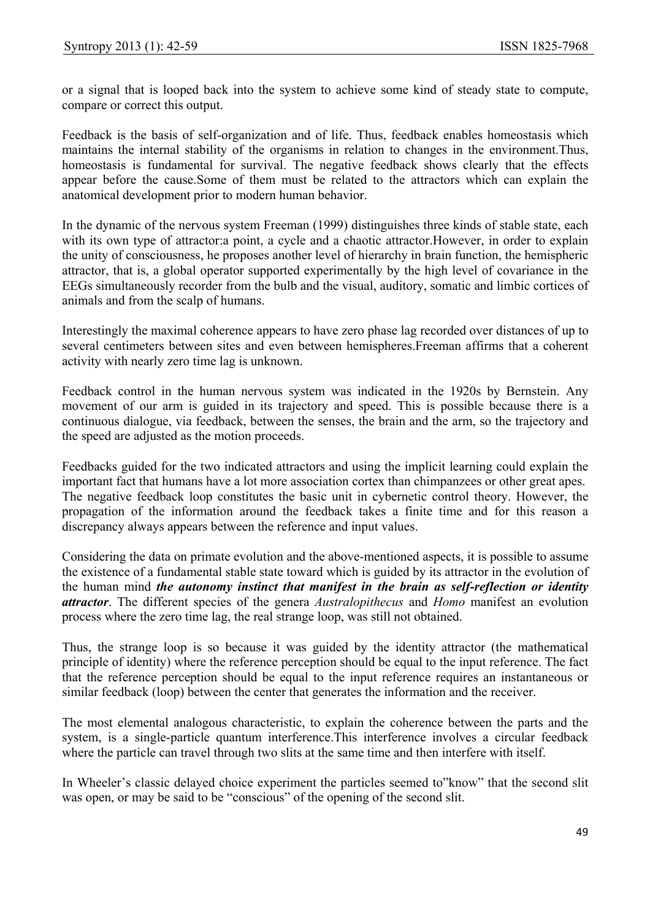or a signal that is looped back into the system to achieve some kind of steady state to compute, compare or correct this output.

Feedback is the basis of self-organization and of life. Thus, feedback enables homeostasis which maintains the internal stability of the organisms in relation to changes in the environment.Thus, homeostasis is fundamental for survival. The negative feedback shows clearly that the effects appear before the cause.Some of them must be related to the attractors which can explain the anatomical development prior to modern human behavior.

In the dynamic of the nervous system Freeman (1999) distinguishes three kinds of stable state, each with its own type of attractor: a point, a cycle and a chaotic attractor. However, in order to explain the unity of consciousness, he proposes another level of hierarchy in brain function, the hemispheric attractor, that is, a global operator supported experimentally by the high level of covariance in the EEGs simultaneously recorder from the bulb and the visual, auditory, somatic and limbic cortices of animals and from the scalp of humans.

Interestingly the maximal coherence appears to have zero phase lag recorded over distances of up to several centimeters between sites and even between hemispheres.Freeman affirms that a coherent activity with nearly zero time lag is unknown.

Feedback control in the human nervous system was indicated in the 1920s by Bernstein. Any movement of our arm is guided in its trajectory and speed. This is possible because there is a continuous dialogue, via feedback, between the senses, the brain and the arm, so the trajectory and the speed are adjusted as the motion proceeds.

Feedbacks guided for the two indicated attractors and using the implicit learning could explain the important fact that humans have a lot more association cortex than chimpanzees or other great apes. The negative feedback loop constitutes the basic unit in cybernetic control theory. However, the propagation of the information around the feedback takes a finite time and for this reason a discrepancy always appears between the reference and input values.

Considering the data on primate evolution and the above-mentioned aspects, it is possible to assume the existence of a fundamental stable state toward which is guided by its attractor in the evolution of the human mind *the autonomy instinct that manifest in the brain as self-reflection or identity attractor*. The different species of the genera *Australopithecus* and *Homo* manifest an evolution process where the zero time lag, the real strange loop, was still not obtained.

Thus, the strange loop is so because it was guided by the identity attractor (the mathematical principle of identity) where the reference perception should be equal to the input reference. The fact that the reference perception should be equal to the input reference requires an instantaneous or similar feedback (loop) between the center that generates the information and the receiver.

The most elemental analogous characteristic, to explain the coherence between the parts and the system, is a single-particle quantum interference.This interference involves a circular feedback where the particle can travel through two slits at the same time and then interfere with itself.

In Wheeler's classic delayed choice experiment the particles seemed to"know" that the second slit was open, or may be said to be "conscious" of the opening of the second slit.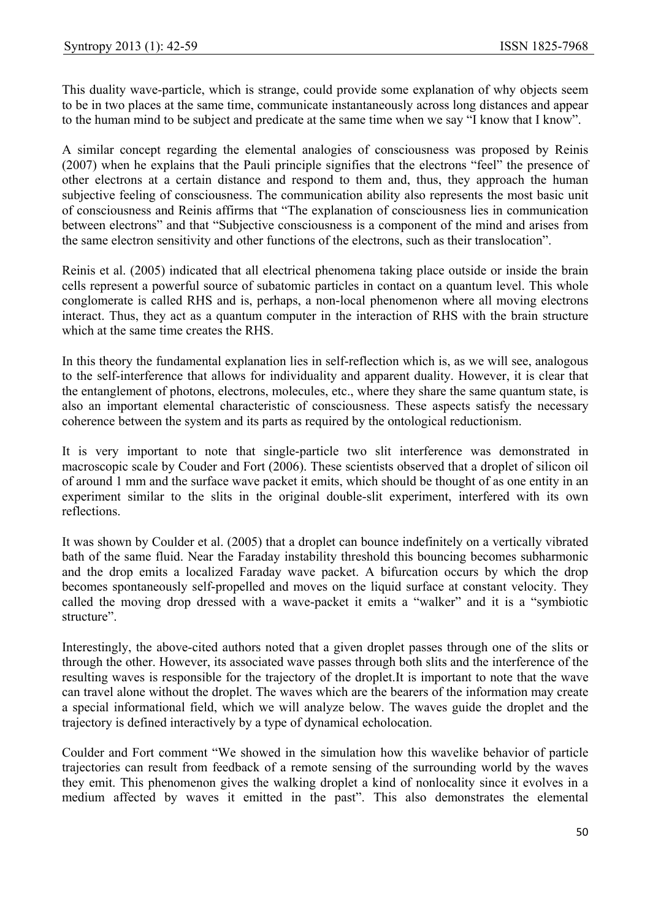This duality wave-particle, which is strange, could provide some explanation of why objects seem to be in two places at the same time, communicate instantaneously across long distances and appear to the human mind to be subject and predicate at the same time when we say "I know that I know".

A similar concept regarding the elemental analogies of consciousness was proposed by Reinis (2007) when he explains that the Pauli principle signifies that the electrons "feel" the presence of other electrons at a certain distance and respond to them and, thus, they approach the human subjective feeling of consciousness. The communication ability also represents the most basic unit of consciousness and Reinis affirms that "The explanation of consciousness lies in communication between electrons" and that "Subjective consciousness is a component of the mind and arises from the same electron sensitivity and other functions of the electrons, such as their translocation".

Reinis et al. (2005) indicated that all electrical phenomena taking place outside or inside the brain cells represent a powerful source of subatomic particles in contact on a quantum level. This whole conglomerate is called RHS and is, perhaps, a non-local phenomenon where all moving electrons interact. Thus, they act as a quantum computer in the interaction of RHS with the brain structure which at the same time creates the RHS.

In this theory the fundamental explanation lies in self-reflection which is, as we will see, analogous to the self-interference that allows for individuality and apparent duality. However, it is clear that the entanglement of photons, electrons, molecules, etc., where they share the same quantum state, is also an important elemental characteristic of consciousness. These aspects satisfy the necessary coherence between the system and its parts as required by the ontological reductionism.

It is very important to note that single-particle two slit interference was demonstrated in macroscopic scale by Couder and Fort (2006). These scientists observed that a droplet of silicon oil of around 1 mm and the surface wave packet it emits, which should be thought of as one entity in an experiment similar to the slits in the original double-slit experiment, interfered with its own reflections.

It was shown by Coulder et al. (2005) that a droplet can bounce indefinitely on a vertically vibrated bath of the same fluid. Near the Faraday instability threshold this bouncing becomes subharmonic and the drop emits a localized Faraday wave packet. A bifurcation occurs by which the drop becomes spontaneously self-propelled and moves on the liquid surface at constant velocity. They called the moving drop dressed with a wave-packet it emits a "walker" and it is a "symbiotic structure".

Interestingly, the above-cited authors noted that a given droplet passes through one of the slits or through the other. However, its associated wave passes through both slits and the interference of the resulting waves is responsible for the trajectory of the droplet.It is important to note that the wave can travel alone without the droplet. The waves which are the bearers of the information may create a special informational field, which we will analyze below. The waves guide the droplet and the trajectory is defined interactively by a type of dynamical echolocation.

Coulder and Fort comment "We showed in the simulation how this wavelike behavior of particle trajectories can result from feedback of a remote sensing of the surrounding world by the waves they emit. This phenomenon gives the walking droplet a kind of nonlocality since it evolves in a medium affected by waves it emitted in the past". This also demonstrates the elemental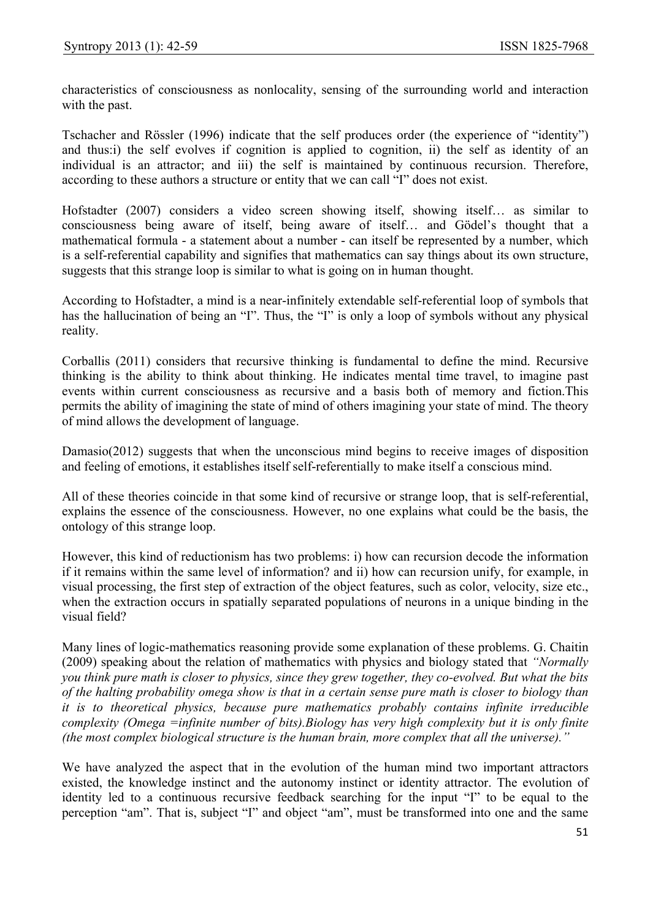characteristics of consciousness as nonlocality, sensing of the surrounding world and interaction with the past.

Tschacher and Rössler (1996) indicate that the self produces order (the experience of "identity") and thus:i) the self evolves if cognition is applied to cognition, ii) the self as identity of an individual is an attractor; and iii) the self is maintained by continuous recursion. Therefore, according to these authors a structure or entity that we can call "I" does not exist.

Hofstadter (2007) considers a video screen showing itself, showing itself… as similar to consciousness being aware of itself, being aware of itself… and Gödel's thought that a mathematical formula - a statement about a number - can itself be represented by a number, which is a self-referential capability and signifies that mathematics can say things about its own structure, suggests that this strange loop is similar to what is going on in human thought.

According to Hofstadter, a mind is a near-infinitely extendable self-referential loop of symbols that has the hallucination of being an "I". Thus, the "I" is only a loop of symbols without any physical reality.

Corballis (2011) considers that recursive thinking is fundamental to define the mind. Recursive thinking is the ability to think about thinking. He indicates mental time travel, to imagine past events within current consciousness as recursive and a basis both of memory and fiction.This permits the ability of imagining the state of mind of others imagining your state of mind. The theory of mind allows the development of language.

Damasio(2012) suggests that when the unconscious mind begins to receive images of disposition and feeling of emotions, it establishes itself self-referentially to make itself a conscious mind.

All of these theories coincide in that some kind of recursive or strange loop, that is self-referential, explains the essence of the consciousness. However, no one explains what could be the basis, the ontology of this strange loop.

However, this kind of reductionism has two problems: i) how can recursion decode the information if it remains within the same level of information? and ii) how can recursion unify, for example, in visual processing, the first step of extraction of the object features, such as color, velocity, size etc., when the extraction occurs in spatially separated populations of neurons in a unique binding in the visual field?

Many lines of logic-mathematics reasoning provide some explanation of these problems. G. Chaitin (2009) speaking about the relation of mathematics with physics and biology stated that *"Normally you think pure math is closer to physics, since they grew together, they co-evolved. But what the bits of the halting probability omega show is that in a certain sense pure math is closer to biology than it is to theoretical physics, because pure mathematics probably contains infinite irreducible complexity (Omega =infinite number of bits).Biology has very high complexity but it is only finite (the most complex biological structure is the human brain, more complex that all the universe)."* 

We have analyzed the aspect that in the evolution of the human mind two important attractors existed, the knowledge instinct and the autonomy instinct or identity attractor. The evolution of identity led to a continuous recursive feedback searching for the input "I" to be equal to the perception "am". That is, subject "I" and object "am", must be transformed into one and the same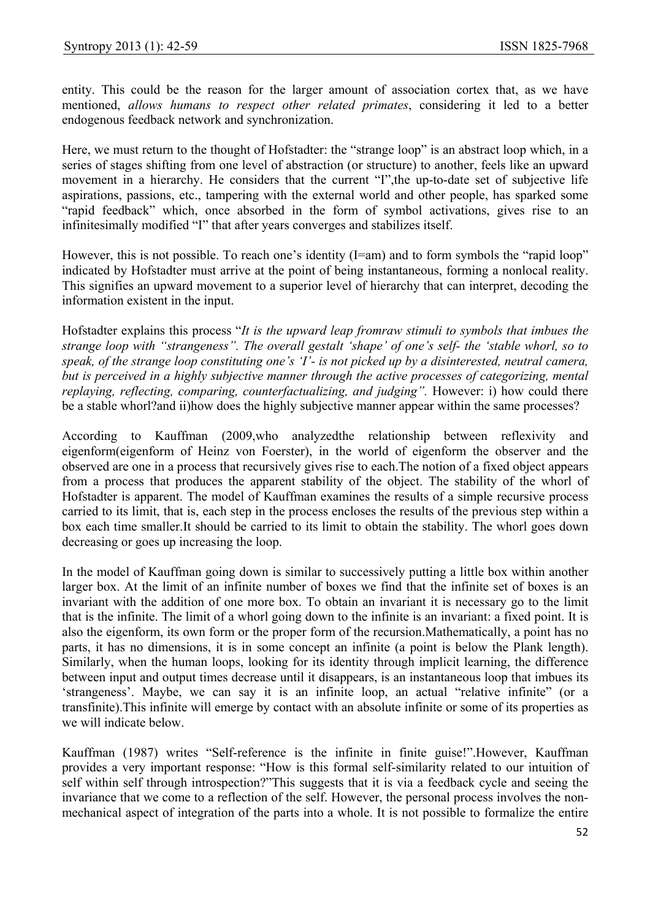entity. This could be the reason for the larger amount of association cortex that, as we have mentioned, *allows humans to respect other related primates*, considering it led to a better endogenous feedback network and synchronization.

Here, we must return to the thought of Hofstadter: the "strange loop" is an abstract loop which, in a series of stages shifting from one level of abstraction (or structure) to another, feels like an upward movement in a hierarchy. He considers that the current "I",the up-to-date set of subjective life aspirations, passions, etc., tampering with the external world and other people, has sparked some "rapid feedback" which, once absorbed in the form of symbol activations, gives rise to an infinitesimally modified "I" that after years converges and stabilizes itself.

However, this is not possible. To reach one's identity (I=am) and to form symbols the "rapid loop" indicated by Hofstadter must arrive at the point of being instantaneous, forming a nonlocal reality. This signifies an upward movement to a superior level of hierarchy that can interpret, decoding the information existent in the input.

Hofstadter explains this process "*It is the upward leap fromraw stimuli to symbols that imbues the strange loop with "strangeness". The overall gestalt 'shape' of one's self- the 'stable whorl, so to speak, of the strange loop constituting one's 'I'- is not picked up by a disinterested, neutral camera, but is perceived in a highly subjective manner through the active processes of categorizing, mental replaying, reflecting, comparing, counterfactualizing, and judging".* However: i) how could there be a stable whorl?and ii)how does the highly subjective manner appear within the same processes?

According to Kauffman (2009,who analyzedthe relationship between reflexivity and eigenform(eigenform of Heinz von Foerster), in the world of eigenform the observer and the observed are one in a process that recursively gives rise to each.The notion of a fixed object appears from a process that produces the apparent stability of the object. The stability of the whorl of Hofstadter is apparent. The model of Kauffman examines the results of a simple recursive process carried to its limit, that is, each step in the process encloses the results of the previous step within a box each time smaller.It should be carried to its limit to obtain the stability. The whorl goes down decreasing or goes up increasing the loop.

In the model of Kauffman going down is similar to successively putting a little box within another larger box. At the limit of an infinite number of boxes we find that the infinite set of boxes is an invariant with the addition of one more box. To obtain an invariant it is necessary go to the limit that is the infinite. The limit of a whorl going down to the infinite is an invariant: a fixed point. It is also the eigenform, its own form or the proper form of the recursion.Mathematically, a point has no parts, it has no dimensions, it is in some concept an infinite (a point is below the Plank length). Similarly, when the human loops, looking for its identity through implicit learning, the difference between input and output times decrease until it disappears, is an instantaneous loop that imbues its 'strangeness'. Maybe, we can say it is an infinite loop, an actual "relative infinite" (or a transfinite).This infinite will emerge by contact with an absolute infinite or some of its properties as we will indicate below.

Kauffman (1987) writes "Self-reference is the infinite in finite guise!".However, Kauffman provides a very important response: "How is this formal self-similarity related to our intuition of self within self through introspection?"This suggests that it is via a feedback cycle and seeing the invariance that we come to a reflection of the self. However, the personal process involves the nonmechanical aspect of integration of the parts into a whole. It is not possible to formalize the entire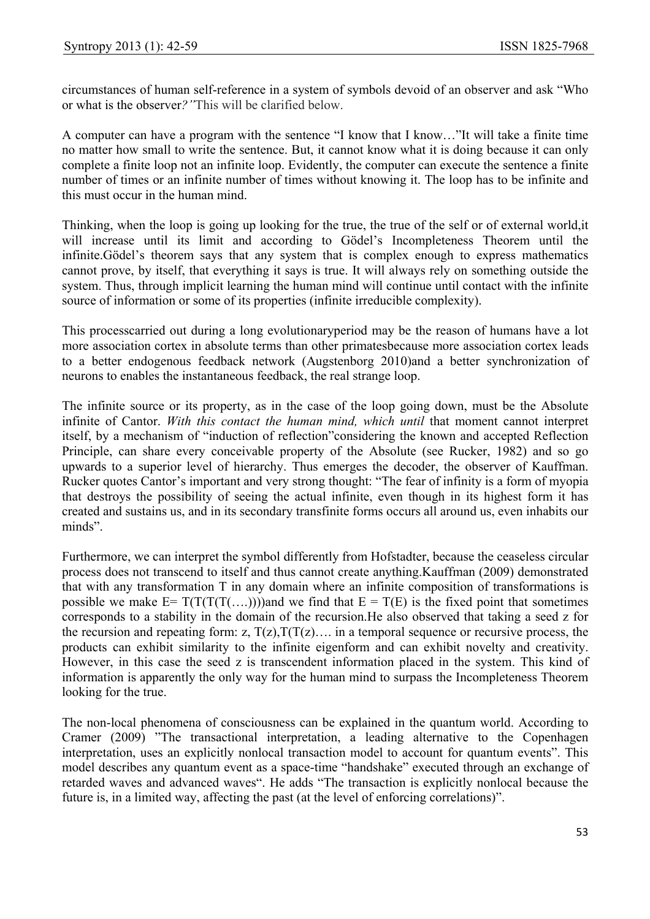circumstances of human self-reference in a system of symbols devoid of an observer and ask "Who or what is the observer*?"*This will be clarified below.

A computer can have a program with the sentence "I know that I know…"It will take a finite time no matter how small to write the sentence. But, it cannot know what it is doing because it can only complete a finite loop not an infinite loop. Evidently, the computer can execute the sentence a finite number of times or an infinite number of times without knowing it. The loop has to be infinite and this must occur in the human mind.

Thinking, when the loop is going up looking for the true, the true of the self or of external world,it will increase until its limit and according to Gödel's Incompleteness Theorem until the infinite.Gödel's theorem says that any system that is complex enough to express mathematics cannot prove, by itself, that everything it says is true. It will always rely on something outside the system. Thus, through implicit learning the human mind will continue until contact with the infinite source of information or some of its properties (infinite irreducible complexity).

This processcarried out during a long evolutionaryperiod may be the reason of humans have a lot more association cortex in absolute terms than other primatesbecause more association cortex leads to a better endogenous feedback network (Augstenborg 2010)and a better synchronization of neurons to enables the instantaneous feedback, the real strange loop.

The infinite source or its property, as in the case of the loop going down, must be the Absolute infinite of Cantor. *With this contact the human mind, which until* that moment cannot interpret itself, by a mechanism of "induction of reflection"considering the known and accepted Reflection Principle, can share every conceivable property of the Absolute (see Rucker, 1982) and so go upwards to a superior level of hierarchy. Thus emerges the decoder, the observer of Kauffman. Rucker quotes Cantor's important and very strong thought: "The fear of infinity is a form of myopia that destroys the possibility of seeing the actual infinite, even though in its highest form it has created and sustains us, and in its secondary transfinite forms occurs all around us, even inhabits our minds".

Furthermore, we can interpret the symbol differently from Hofstadter, because the ceaseless circular process does not transcend to itself and thus cannot create anything.Kauffman (2009) demonstrated that with any transformation T in any domain where an infinite composition of transformations is possible we make  $E = T(T(T(T(T(\ldots))))$  and we find that  $E = T(E)$  is the fixed point that sometimes corresponds to a stability in the domain of the recursion.He also observed that taking a seed z for the recursion and repeating form: z,  $T(z)$ ,  $T(T(z)$ …. in a temporal sequence or recursive process, the products can exhibit similarity to the infinite eigenform and can exhibit novelty and creativity. However, in this case the seed z is transcendent information placed in the system. This kind of information is apparently the only way for the human mind to surpass the Incompleteness Theorem looking for the true.

The non-local phenomena of consciousness can be explained in the quantum world. According to Cramer (2009) "The transactional interpretation, a leading alternative to the Copenhagen interpretation, uses an explicitly nonlocal transaction model to account for quantum events". This model describes any quantum event as a space-time "handshake" executed through an exchange of retarded waves and advanced waves". He adds "The transaction is explicitly nonlocal because the future is, in a limited way, affecting the past (at the level of enforcing correlations)".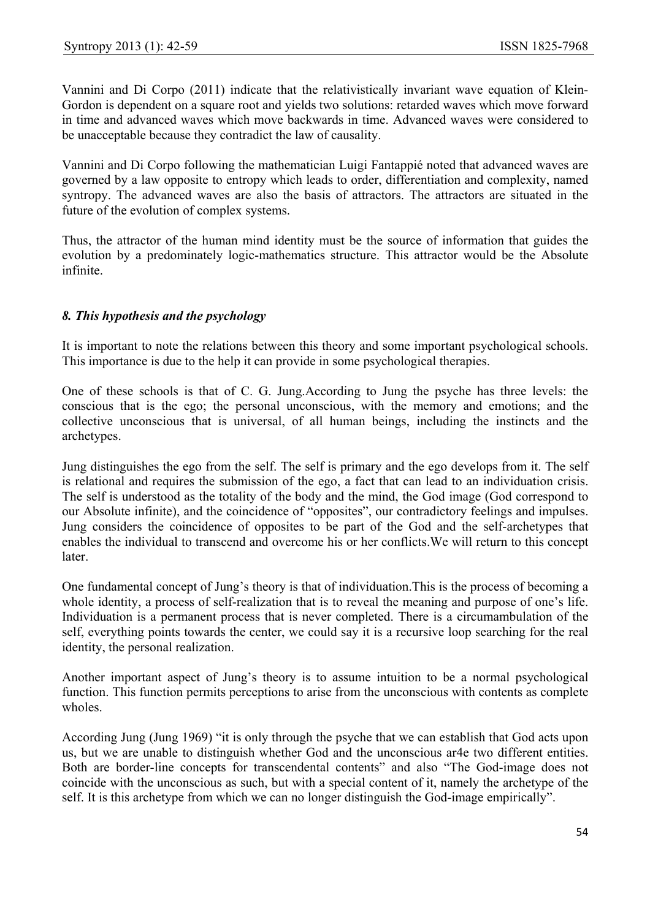Vannini and Di Corpo (2011) indicate that the relativistically invariant wave equation of Klein-Gordon is dependent on a square root and yields two solutions: retarded waves which move forward in time and advanced waves which move backwards in time. Advanced waves were considered to be unacceptable because they contradict the law of causality.

Vannini and Di Corpo following the mathematician Luigi Fantappié noted that advanced waves are governed by a law opposite to entropy which leads to order, differentiation and complexity, named syntropy. The advanced waves are also the basis of attractors. The attractors are situated in the future of the evolution of complex systems.

Thus, the attractor of the human mind identity must be the source of information that guides the evolution by a predominately logic-mathematics structure. This attractor would be the Absolute infinite.

# *8. This hypothesis and the psychology*

It is important to note the relations between this theory and some important psychological schools. This importance is due to the help it can provide in some psychological therapies.

One of these schools is that of C. G. Jung.According to Jung the psyche has three levels: the conscious that is the ego; the personal unconscious, with the memory and emotions; and the collective unconscious that is universal, of all human beings, including the instincts and the archetypes.

Jung distinguishes the ego from the self. The self is primary and the ego develops from it. The self is relational and requires the submission of the ego, a fact that can lead to an individuation crisis. The self is understood as the totality of the body and the mind, the God image (God correspond to our Absolute infinite), and the coincidence of "opposites", our contradictory feelings and impulses. Jung considers the coincidence of opposites to be part of the God and the self-archetypes that enables the individual to transcend and overcome his or her conflicts.We will return to this concept later.

One fundamental concept of Jung's theory is that of individuation.This is the process of becoming a whole identity, a process of self-realization that is to reveal the meaning and purpose of one's life. Individuation is a permanent process that is never completed. There is a circumambulation of the self, everything points towards the center, we could say it is a recursive loop searching for the real identity, the personal realization.

Another important aspect of Jung's theory is to assume intuition to be a normal psychological function. This function permits perceptions to arise from the unconscious with contents as complete wholes.

According Jung (Jung 1969) "it is only through the psyche that we can establish that God acts upon us, but we are unable to distinguish whether God and the unconscious ar4e two different entities. Both are border-line concepts for transcendental contents" and also "The God-image does not coincide with the unconscious as such, but with a special content of it, namely the archetype of the self. It is this archetype from which we can no longer distinguish the God-image empirically".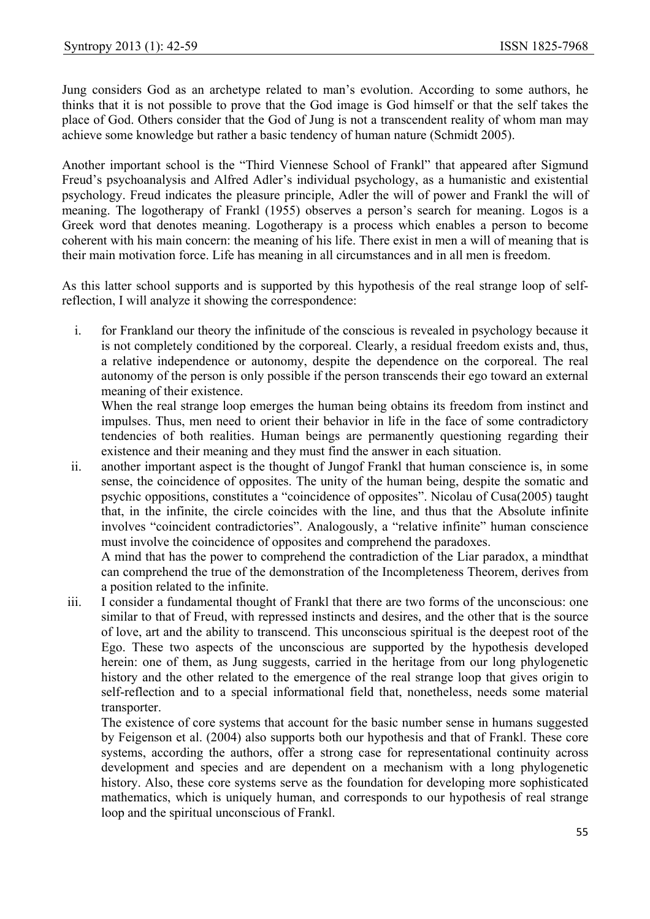Jung considers God as an archetype related to man's evolution. According to some authors, he thinks that it is not possible to prove that the God image is God himself or that the self takes the place of God. Others consider that the God of Jung is not a transcendent reality of whom man may achieve some knowledge but rather a basic tendency of human nature (Schmidt 2005).

Another important school is the "Third Viennese School of Frankl" that appeared after Sigmund Freud's psychoanalysis and Alfred Adler's individual psychology, as a humanistic and existential psychology. Freud indicates the pleasure principle, Adler the will of power and Frankl the will of meaning. The logotherapy of Frankl (1955) observes a person's search for meaning. Logos is a Greek word that denotes meaning. Logotherapy is a process which enables a person to become coherent with his main concern: the meaning of his life. There exist in men a will of meaning that is their main motivation force. Life has meaning in all circumstances and in all men is freedom.

As this latter school supports and is supported by this hypothesis of the real strange loop of selfreflection, I will analyze it showing the correspondence:

i. for Frankland our theory the infinitude of the conscious is revealed in psychology because it is not completely conditioned by the corporeal. Clearly, a residual freedom exists and, thus, a relative independence or autonomy, despite the dependence on the corporeal. The real autonomy of the person is only possible if the person transcends their ego toward an external meaning of their existence.

When the real strange loop emerges the human being obtains its freedom from instinct and impulses. Thus, men need to orient their behavior in life in the face of some contradictory tendencies of both realities. Human beings are permanently questioning regarding their existence and their meaning and they must find the answer in each situation.

ii. another important aspect is the thought of Jungof Frankl that human conscience is, in some sense, the coincidence of opposites. The unity of the human being, despite the somatic and psychic oppositions, constitutes a "coincidence of opposites". Nicolau of Cusa(2005) taught that, in the infinite, the circle coincides with the line, and thus that the Absolute infinite involves "coincident contradictories". Analogously, a "relative infinite" human conscience must involve the coincidence of opposites and comprehend the paradoxes.

A mind that has the power to comprehend the contradiction of the Liar paradox, a mindthat can comprehend the true of the demonstration of the Incompleteness Theorem, derives from a position related to the infinite.

iii. I consider a fundamental thought of Frankl that there are two forms of the unconscious: one similar to that of Freud, with repressed instincts and desires, and the other that is the source of love, art and the ability to transcend. This unconscious spiritual is the deepest root of the Ego. These two aspects of the unconscious are supported by the hypothesis developed herein: one of them, as Jung suggests, carried in the heritage from our long phylogenetic history and the other related to the emergence of the real strange loop that gives origin to self-reflection and to a special informational field that, nonetheless, needs some material transporter.

The existence of core systems that account for the basic number sense in humans suggested by Feigenson et al. (2004) also supports both our hypothesis and that of Frankl. These core systems, according the authors, offer a strong case for representational continuity across development and species and are dependent on a mechanism with a long phylogenetic history. Also, these core systems serve as the foundation for developing more sophisticated mathematics, which is uniquely human, and corresponds to our hypothesis of real strange loop and the spiritual unconscious of Frankl.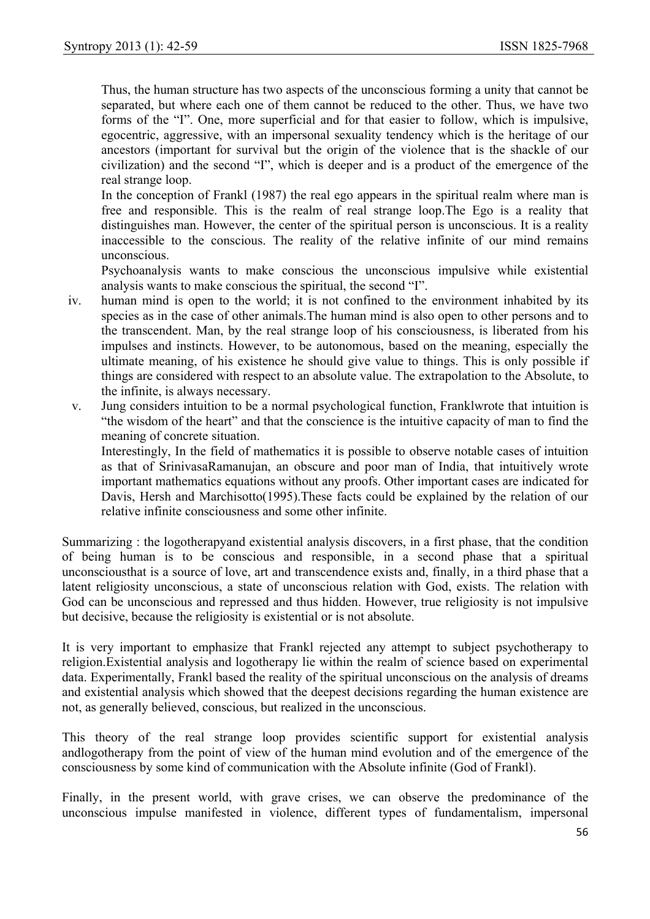Thus, the human structure has two aspects of the unconscious forming a unity that cannot be separated, but where each one of them cannot be reduced to the other. Thus, we have two forms of the "I". One, more superficial and for that easier to follow, which is impulsive, egocentric, aggressive, with an impersonal sexuality tendency which is the heritage of our ancestors (important for survival but the origin of the violence that is the shackle of our civilization) and the second "I", which is deeper and is a product of the emergence of the real strange loop.

In the conception of Frankl (1987) the real ego appears in the spiritual realm where man is free and responsible. This is the realm of real strange loop.The Ego is a reality that distinguishes man. However, the center of the spiritual person is unconscious. It is a reality inaccessible to the conscious. The reality of the relative infinite of our mind remains unconscious.

Psychoanalysis wants to make conscious the unconscious impulsive while existential analysis wants to make conscious the spiritual, the second "I".

- iv. human mind is open to the world; it is not confined to the environment inhabited by its species as in the case of other animals.The human mind is also open to other persons and to the transcendent. Man, by the real strange loop of his consciousness, is liberated from his impulses and instincts. However, to be autonomous, based on the meaning, especially the ultimate meaning, of his existence he should give value to things. This is only possible if things are considered with respect to an absolute value. The extrapolation to the Absolute, to the infinite, is always necessary.
- v. Jung considers intuition to be a normal psychological function, Franklwrote that intuition is "the wisdom of the heart" and that the conscience is the intuitive capacity of man to find the meaning of concrete situation.

Interestingly, In the field of mathematics it is possible to observe notable cases of intuition as that of SrinivasaRamanujan, an obscure and poor man of India, that intuitively wrote important mathematics equations without any proofs. Other important cases are indicated for Davis, Hersh and Marchisotto(1995).These facts could be explained by the relation of our relative infinite consciousness and some other infinite.

Summarizing : the logotherapyand existential analysis discovers, in a first phase, that the condition of being human is to be conscious and responsible, in a second phase that a spiritual unconsciousthat is a source of love, art and transcendence exists and, finally, in a third phase that a latent religiosity unconscious, a state of unconscious relation with God, exists. The relation with God can be unconscious and repressed and thus hidden. However, true religiosity is not impulsive but decisive, because the religiosity is existential or is not absolute.

It is very important to emphasize that Frankl rejected any attempt to subject psychotherapy to religion.Existential analysis and logotherapy lie within the realm of science based on experimental data. Experimentally, Frankl based the reality of the spiritual unconscious on the analysis of dreams and existential analysis which showed that the deepest decisions regarding the human existence are not, as generally believed, conscious, but realized in the unconscious.

This theory of the real strange loop provides scientific support for existential analysis andlogotherapy from the point of view of the human mind evolution and of the emergence of the consciousness by some kind of communication with the Absolute infinite (God of Frankl).

Finally, in the present world, with grave crises, we can observe the predominance of the unconscious impulse manifested in violence, different types of fundamentalism, impersonal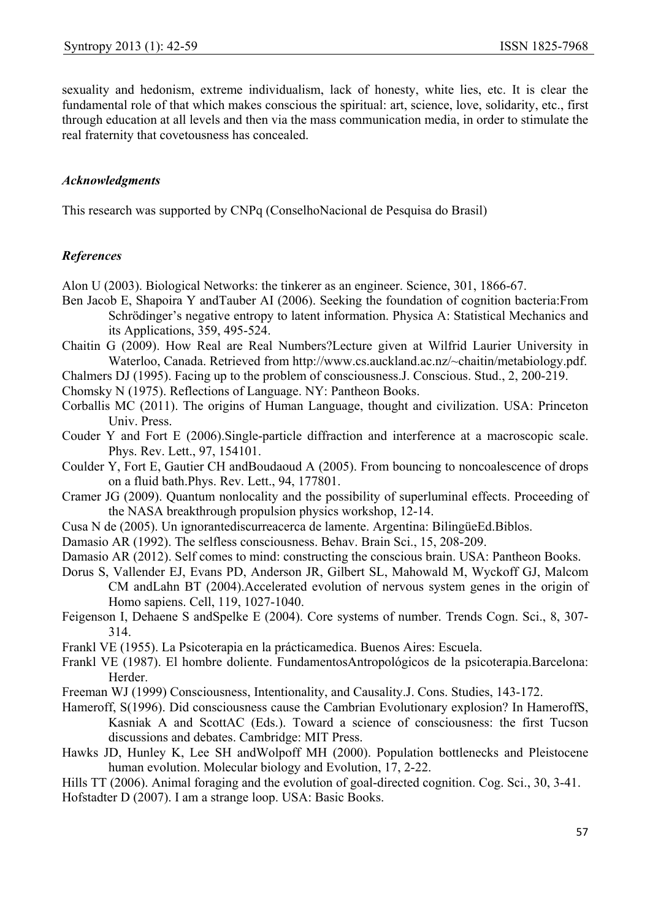sexuality and hedonism, extreme individualism, lack of honesty, white lies, etc. It is clear the fundamental role of that which makes conscious the spiritual: art, science, love, solidarity, etc., first through education at all levels and then via the mass communication media, in order to stimulate the real fraternity that covetousness has concealed.

#### *Acknowledgments*

This research was supported by CNPq (ConselhoNacional de Pesquisa do Brasil)

## *References*

Alon U (2003). Biological Networks: the tinkerer as an engineer. Science, 301, 1866-67.

- Ben Jacob E, Shapoira Y andTauber AI (2006). Seeking the foundation of cognition bacteria:From Schrödinger's negative entropy to latent information. Physica A: Statistical Mechanics and its Applications, 359, 495-524.
- Chaitin G (2009). How Real are Real Numbers?Lecture given at Wilfrid Laurier University in Waterloo, Canada. Retrieved from http://www.cs.auckland.ac.nz/~chaitin/metabiology.pdf.

Chalmers DJ (1995). Facing up to the problem of consciousness.J. Conscious. Stud., 2, 200-219.

- Chomsky N (1975). Reflections of Language. NY: Pantheon Books.
- Corballis MC (2011). The origins of Human Language, thought and civilization. USA: Princeton Univ. Press.
- Couder Y and Fort E (2006).Single-particle diffraction and interference at a macroscopic scale. Phys. Rev. Lett., 97, 154101.
- Coulder Y, Fort E, Gautier CH andBoudaoud A (2005). From bouncing to noncoalescence of drops on a fluid bath.Phys. Rev. Lett., 94, 177801.
- Cramer JG (2009). Quantum nonlocality and the possibility of superluminal effects. Proceeding of the NASA breakthrough propulsion physics workshop, 12-14.
- Cusa N de (2005). Un ignorantediscurreacerca de lamente. Argentina: BilingüeEd.Biblos.
- Damasio AR (1992). The selfless consciousness. Behav. Brain Sci., 15, 208-209.
- Damasio AR (2012). Self comes to mind: constructing the conscious brain. USA: Pantheon Books.
- Dorus S, Vallender EJ, Evans PD, Anderson JR, Gilbert SL, Mahowald M, Wyckoff GJ, Malcom CM andLahn BT (2004).Accelerated evolution of nervous system genes in the origin of Homo sapiens. Cell, 119, 1027-1040.
- Feigenson I, Dehaene S andSpelke E (2004). Core systems of number. Trends Cogn. Sci., 8, 307- 314.
- Frankl VE (1955). La Psicoterapia en la prácticamedica. Buenos Aires: Escuela.
- Frankl VE (1987). El hombre doliente. FundamentosAntropológicos de la psicoterapia.Barcelona: **Herder**
- Freeman WJ (1999) Consciousness, Intentionality, and Causality.J. Cons. Studies, 143-172.
- Hameroff, S(1996). Did consciousness cause the Cambrian Evolutionary explosion? In HameroffS, Kasniak A and ScottAC (Eds.). Toward a science of consciousness: the first Tucson discussions and debates. Cambridge: MIT Press.
- Hawks JD, Hunley K, Lee SH andWolpoff MH (2000). Population bottlenecks and Pleistocene human evolution. Molecular biology and Evolution, 17, 2-22.
- Hills TT (2006). Animal foraging and the evolution of goal-directed cognition. Cog. Sci., 30, 3-41. Hofstadter D (2007). I am a strange loop. USA: Basic Books.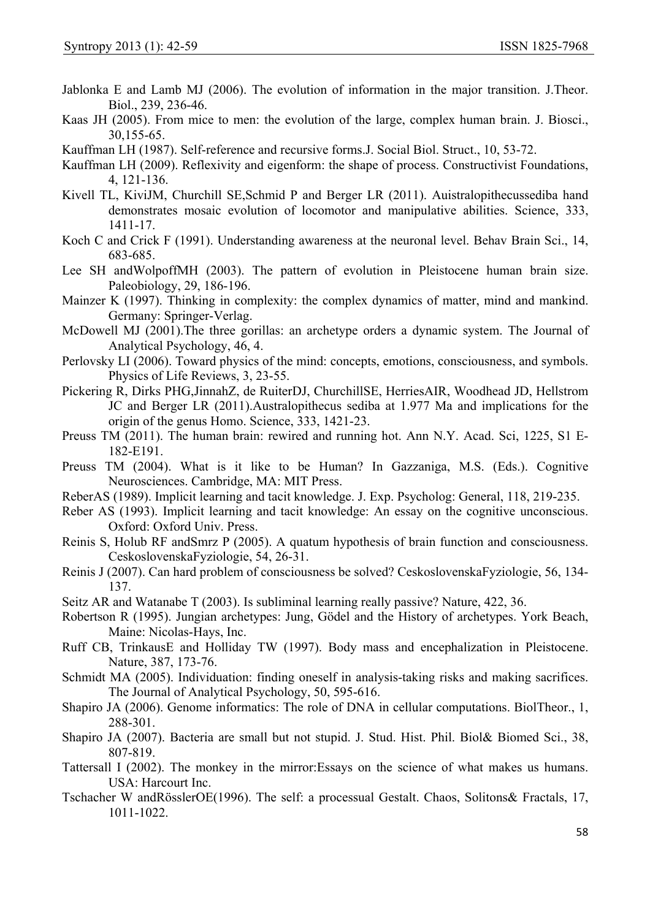- Jablonka E and Lamb MJ (2006). The evolution of information in the major transition. J.Theor. Biol., 239, 236-46.
- Kaas JH (2005). From mice to men: the evolution of the large, complex human brain. J. Biosci., 30,155-65.
- Kauffman LH (1987). Self-reference and recursive forms.J. Social Biol. Struct., 10, 53-72.
- Kauffman LH (2009). Reflexivity and eigenform: the shape of process. Constructivist Foundations, 4, 121-136.
- Kivell TL, KiviJM, Churchill SE,Schmid P and Berger LR (2011). Auistralopithecussediba hand demonstrates mosaic evolution of locomotor and manipulative abilities. Science, 333, 1411-17.
- Koch C and Crick F (1991). Understanding awareness at the neuronal level. Behav Brain Sci., 14, 683-685.
- Lee SH andWolpoffMH (2003). The pattern of evolution in Pleistocene human brain size. Paleobiology, 29, 186-196.
- Mainzer K (1997). Thinking in complexity: the complex dynamics of matter, mind and mankind. Germany: Springer-Verlag.
- McDowell MJ (2001).The three gorillas: an archetype orders a dynamic system. The Journal of Analytical Psychology, 46, 4.
- Perlovsky LI (2006). Toward physics of the mind: concepts, emotions, consciousness, and symbols. Physics of Life Reviews, 3, 23-55.
- Pickering R, Dirks PHG,JinnahZ, de RuiterDJ, ChurchillSE, HerriesAIR, Woodhead JD, Hellstrom JC and Berger LR (2011).Australopithecus sediba at 1.977 Ma and implications for the origin of the genus Homo. Science, 333, 1421-23.
- Preuss TM (2011). The human brain: rewired and running hot. Ann N.Y. Acad. Sci, 1225, S1 E-182-E191.
- Preuss TM (2004). What is it like to be Human? In Gazzaniga, M.S. (Eds.). Cognitive Neurosciences. Cambridge, MA: MIT Press.
- ReberAS (1989). Implicit learning and tacit knowledge. J. Exp. Psycholog: General, 118, 219-235.
- Reber AS (1993). Implicit learning and tacit knowledge: An essay on the cognitive unconscious. Oxford: Oxford Univ. Press.
- Reinis S, Holub RF andSmrz P (2005). A quatum hypothesis of brain function and consciousness. CeskoslovenskaFyziologie, 54, 26-31.
- Reinis J (2007). Can hard problem of consciousness be solved? CeskoslovenskaFyziologie, 56, 134- 137.
- Seitz AR and Watanabe T (2003). Is subliminal learning really passive? Nature, 422, 36.
- Robertson R (1995). Jungian archetypes: Jung, Gödel and the History of archetypes. York Beach, Maine: Nicolas-Hays, Inc.
- Ruff CB, TrinkausE and Holliday TW (1997). Body mass and encephalization in Pleistocene. Nature, 387, 173-76.
- Schmidt MA (2005). Individuation: finding oneself in analysis-taking risks and making sacrifices. The Journal of Analytical Psychology, 50, 595-616.
- Shapiro JA (2006). Genome informatics: The role of DNA in cellular computations. BiolTheor., 1, 288-301.
- Shapiro JA (2007). Bacteria are small but not stupid. J. Stud. Hist. Phil. Biol& Biomed Sci., 38, 807-819.
- Tattersall I (2002). The monkey in the mirror:Essays on the science of what makes us humans. USA: Harcourt Inc.
- Tschacher W andRösslerOE(1996). The self: a processual Gestalt. Chaos, Solitons& Fractals, 17, 1011-1022.